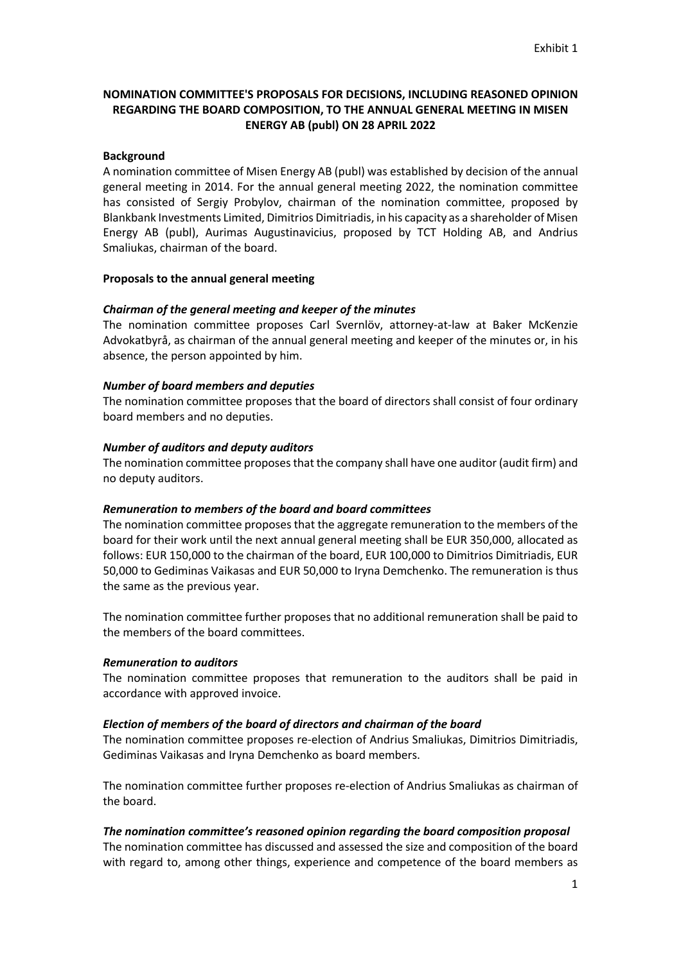# **NOMINATION COMMITTEE'S PROPOSALS FOR DECISIONS, INCLUDING REASONED OPINION REGARDING THE BOARD COMPOSITION, TO THE ANNUAL GENERAL MEETING IN MISEN ENERGY AB (publ) ON 28 APRIL 2022**

### **Background**

A nomination committee of Misen Energy AB (publ) was established by decision of the annual general meeting in 2014. For the annual general meeting 2022, the nomination committee has consisted of Sergiy Probylov, chairman of the nomination committee, proposed by Blankbank Investments Limited, Dimitrios Dimitriadis, in his capacity as a shareholder of Misen Energy AB (publ), Aurimas Augustinavicius, proposed by TCT Holding AB, and Andrius Smaliukas, chairman of the board.

#### **Proposals to the annual general meeting**

## *Chairman of the general meeting and keeper of the minutes*

The nomination committee proposes Carl Svernlöv, attorney-at-law at Baker McKenzie Advokatbyrå, as chairman of the annual general meeting and keeper of the minutes or, in his absence, the person appointed by him.

## *Number of board members and deputies*

The nomination committee proposes that the board of directors shall consist of four ordinary board members and no deputies.

## *Number of auditors and deputy auditors*

The nomination committee proposes that the company shall have one auditor (audit firm) and no deputy auditors.

#### *Remuneration to members of the board and board committees*

The nomination committee proposes that the aggregate remuneration to the members of the board for their work until the next annual general meeting shall be EUR 350,000, allocated as follows: EUR 150,000 to the chairman of the board, EUR 100,000 to Dimitrios Dimitriadis, EUR 50,000 to Gediminas Vaikasas and EUR 50,000 to Iryna Demchenko. The remuneration is thus the same as the previous year.

The nomination committee further proposes that no additional remuneration shall be paid to the members of the board committees.

#### *Remuneration to auditors*

The nomination committee proposes that remuneration to the auditors shall be paid in accordance with approved invoice.

#### *Election of members of the board of directors and chairman of the board*

The nomination committee proposes re-election of Andrius Smaliukas, Dimitrios Dimitriadis, Gediminas Vaikasas and Iryna Demchenko as board members.

The nomination committee further proposes re-election of Andrius Smaliukas as chairman of the board.

## *The nomination committee's reasoned opinion regarding the board composition proposal*

The nomination committee has discussed and assessed the size and composition of the board with regard to, among other things, experience and competence of the board members as